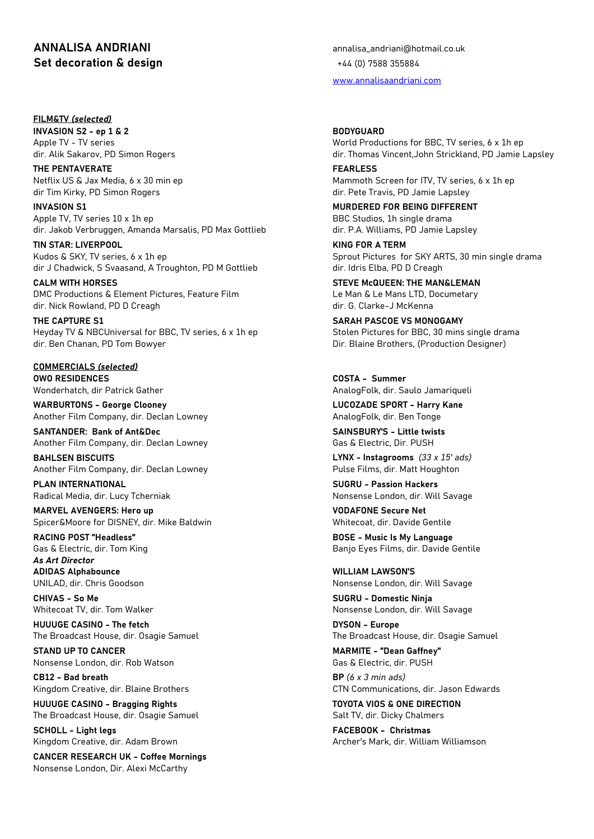## **ANNALISA ANDRIANI** annalisa\_andriani@hotmail.co.uk **Set decoration & design**  $+44$  **(0) 7588 355884**

## **FILM&TV** *(selected)*

**INVASION S2 - ep 1 & 2 BODYGUARD**

**THE PENTAVERATE FEARLESS** dir Tim Kirky, PD Simon Rogers dir. Pete Travis, PD Jamie Lapsley

**INVASION S1 MURDERED FOR BEING DIFFERENT** Apple TV, TV series 10 x 1h ep BBC Studios, 1h single drama dir. Jakob Verbruggen, Amanda Marsalis, PD Max Gottlieb dir. P.A. Williams, PD Jamie Lapsley

**TIN STAR: LIVERPOOL KING FOR A TERM** Kudos & SKY, TV series, 6 x 1h ep Sprout Pictures for SKY ARTS, 30 min single drama dir J Chadwick, S Svaasand, A Troughton, PD M Gottlieb dir. Idris Elba, PD D Creagh

**CALM WITH HORSES STEVE McQUEEN: THE MAN&LEMAN** DMC Productions & Element Pictures, Feature Film Letture Le Man & Le Mans LTD, Documetary dir. Nick Rowland, PD D Creagh dir. G. Clarke-J McKenna

**THE CAPTURE S1 SARAH PASCOE VS MONOGAMY** Heyday TV & NBCUniversal for BBC, TV series, 6 x 1h ep Stolen Pictures for BBC, 30 mins single drama dir. Ben Chanan, PD Tom Bowyer **Direct Chanan, PD Tom Bowyer** Direct Production Designer)

**COMMERCIALS** *(selected)* **OWO RESIDENCES COSTA - Summer**

**WARBURTONS - George Clooney LUCOZADE SPORT - Harry Kane** Another Film Company, dir. Declan Lowney AnalogFolk, dir. Ben Tonge

**SANTANDER: Bank of Ant&Dec SAINSBURY'S - Little twists** Another Film Company, dir. Declan Lowney Gas & Electric, Dir. PUSH

**BAHLSEN BISCUITS LYNX - Instagrooms** *(33 x 15' ads)* Another Film Company, dir. Declan Lowney Pulse Films, dir. Matt Houghton

Radical Media, dir. Lucy Tcherniak Nonsense London, dir. Will Savage

**MARVEL AVENGERS: Hero up VODAFONE Secure Net** Spicer&Moore for DISNEY, dir. Mike Baldwin Whitecoat, dir. Davide Gentile

*As Art Director*

**ADIDAS Alphabounce WILLIAM LAWSON'S**

**CHIVAS - So Me SUGRU - Domestic Ninja**

**HUUUGE CASINO - The fetch DYSON - Europe** The Broadcast House, dir. Osagie Samuel The Broadcast House, dir. Osagie Samuel

**STAND UP TO CANCER MARMITE - "Dean Gaffney"** Nonsense London, dir. Rob Watson Gassachusetts Cassachusetts Gas & Electric, dir. PUSH

**CB12 - Bad breath BP** *(6 x 3 min ads)* Kingdom Creative, dir. Blaine Brothers CTN Communications, dir. Jason Edwards

**HUUUGE CASINO - Bragging Rights TOYOTA VIOS & ONE DIRECTION** The Broadcast House, dir. Osagie Samuel Salt TV, dir. Dicky Chalmers

**SCHOLL - Light legs FACEBOOK - Christmas**

**CANCER RESEARCH UK - Coffee Mornings** Nonsense London, Dir. Alexi McCarthy

[www.annalisaandriani.com](http://www.annalisaandriani.com/)

Apple TV - TV series World Productions for BBC, TV series, 6 x 1h ep dir. Alik Sakarov, PD Simon Rogers dir. Thomas Vincent,John Strickland, PD Jamie Lapsley

Netflix US & Jax Media, 6 x 30 min ep Mammoth Screen for ITV, TV series, 6 x 1h ep

Wonderhatch, dir Patrick Gather AnalogFolk, dir. Saulo Jamariqueli

**PLAN INTERNATIONAL SUGRU - Passion Hackers**

**RACING POST "Headless" BOSE - Music Is My Language** Gas & Electric, dir. Tom King Banjo Eyes Films, dir. Davide Gentile

UNILAD, dir. Chris Goodson Nonsense London, dir. Will Savage

Whitecoat TV, dir. Tom Walker Nonsense London, dir. Will Savage

Kingdom Creative, dir. Adam Brown Archer's Mark, dir. William Williamson